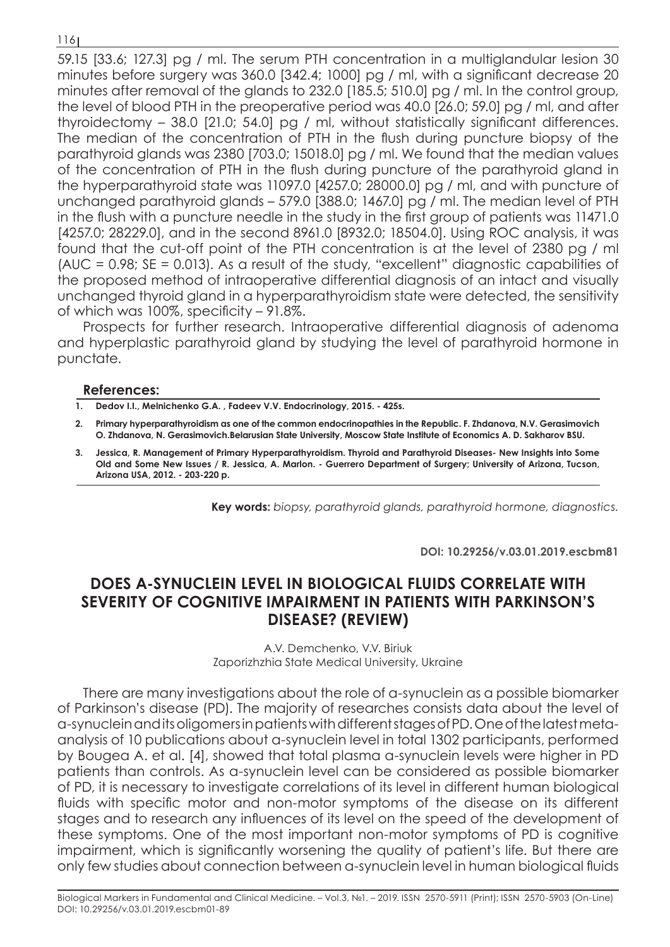116

59.15 [33.6; 127.3] pg / ml. The serum PTH concentration in a multiglandular lesion 30 minutes before surgery was 360.0 [342.4; 1000] pg / ml, with a significant decrease 20 minutes after removal of the glands to 232.0 [185.5; 510.0] pg / ml. In the control group, the level of blood PTH in the preoperative period was 40.0 [26.0; 59.0] pg / ml, and after thyroidectomy – 38.0 [21.0; 54.0] pg / ml, without statistically significant differences. The median of the concentration of PTH in the flush during puncture biopsy of the parathyroid glands was 2380 [703.0; 15018.0] pg / ml. We found that the median values of the concentration of PTH in the flush during puncture of the parathyroid gland in the hyperparathyroid state was 11097.0 [4257.0; 28000.0] pg / ml, and with puncture of unchanged parathyroid glands – 579.0 [388.0; 1467.0] pg / ml. The median level of PTH in the flush with a puncture needle in the study in the first group of patients was 11471.0 [4257.0; 28229.0], and in the second 8961.0 [8932.0; 18504.0]. Using ROC analysis, it was found that the cut-off point of the PTH concentration is at the level of 2380 pg / ml (AUC = 0.98; SE = 0.013). As a result of the study, "excellent" diagnostic capabilities of the proposed method of intraoperative differential diagnosis of an intact and visually unchanged thyroid gland in a hyperparathyroidism state were detected, the sensitivity of which was 100%, specificity – 91.8%.

Prospects for further research. Intraoperative differential diagnosis of adenoma and hyperplastic parathyroid gland by studying the level of parathyroid hormone in punctate.

## **References:**

- **1. Dedov I.I., Melnichenko G.A. , Fadeev V.V. Endocrinology, 2015. 425s.**
- **2. Primary hyperparathyroidism as one of the common endocrinopathies in the Republic. F. Zhdanova, N.V. Gerasimovich O. Zhdanova, N. Gerasimovich.Belarusian State University, Moscow State Institute of Economics A. D. Sakharov BSU.**
- **3. Jessica, R. Management of Primary Hyperparathyroidism. Thyroid and Parathyroid Diseases- New Insights into Some Old and Some New Issues / R. Jessica, A. Marlon. - Guerrero Department of Surgery; University of Arizona, Tucson, Arizona USA, 2012. - 203-220 p.**

**Key words:** *biopsy, parathyroid glands, parathyroid hormone, diagnostics.*

**DOI: 10.29256/v.03.01.2019.escbm81**

## **DOES Α-SYNUCLEIN LEVEL IN BIOLOGICAL FLUIDS CORRELATE WITH SEVERITY OF COGNITIVE IMPAIRMENT IN PATIENTS WITH PARKINSON'S DISEASE? (REVIEW)**

A.V. Demchenko, V.V. Biriuk Zaporizhzhia State Medical University, Ukraine

There are many investigations about the role of α-synuclein as a possible biomarker of Parkinson's disease (PD). The majority of researches consists data about the level of α-synuclein and its oligomers in patients with different stages of PD. One of the latest metaanalysis of 10 publications about α-synuclein level in total 1302 participants, performed by Bougea A. et al. [4], showed that total plasma α-synuclein levels were higher in PD patients than controls. As α-synuclein level can be considered as possible biomarker of PD, it is necessary to investigate correlations of its level in different human biological fluids with specific motor and non-motor symptoms of the disease on its different stages and to research any influences of its level on the speed of the development of these symptoms. One of the most important non-motor symptoms of PD is cognitive impairment, which is significantly worsening the quality of patient's life. But there are only few studies about connection between α-synuclein level in human biological fluids